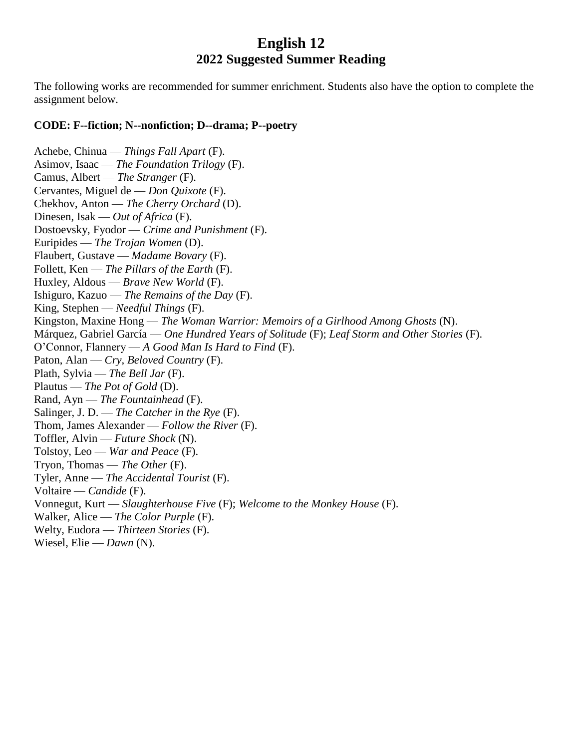## **English 12 2022 Suggested Summer Reading**

The following works are recommended for summer enrichment. Students also have the option to complete the assignment below.

## **CODE: F--fiction; N--nonfiction; D--drama; P--poetry**

Achebe, Chinua — *Things Fall Apart* (F). Asimov, Isaac — *The Foundation Trilogy* (F). Camus, Albert — *The Stranger* (F). Cervantes, Miguel de — *Don Quixote* (F). Chekhov, Anton — *The Cherry Orchard* (D). Dinesen, Isak — *Out of Africa* (F). Dostoevsky, Fyodor — *Crime and Punishment* (F). Euripides — *The Trojan Women* (D). Flaubert, Gustave — *Madame Bovary* (F). Follett, Ken — *The Pillars of the Earth* (F). Huxley, Aldous — *Brave New World* (F). Ishiguro, Kazuo — *The Remains of the Day* (F). King, Stephen — *Needful Things* (F). Kingston, Maxine Hong — *The Woman Warrior: Memoirs of a Girlhood Among Ghosts* (N). Márquez, Gabriel García — *One Hundred Years of Solitude* (F); *Leaf Storm and Other Stories* (F). O'Connor, Flannery — *A Good Man Is Hard to Find* (F). Paton, Alan — *Cry, Beloved Country* (F). Plath, Sylvia — *The Bell Jar* (F). Plautus — *The Pot of Gold* (D). Rand, Ayn — *The Fountainhead* (F). Salinger, J. D. — *The Catcher in the Rye* (F). Thom, James Alexander — *Follow the River* (F). Toffler, Alvin — *Future Shock* (N). Tolstoy, Leo — *War and Peace* (F). Tryon, Thomas — *The Other* (F). Tyler, Anne — *The Accidental Tourist* (F). Voltaire — *Candide* (F). Vonnegut, Kurt — *Slaughterhouse Five* (F); *Welcome to the Monkey House* (F). Walker, Alice — *The Color Purple* (F). Welty, Eudora — *Thirteen Stories* (F). Wiesel, Elie — *Dawn* (N).